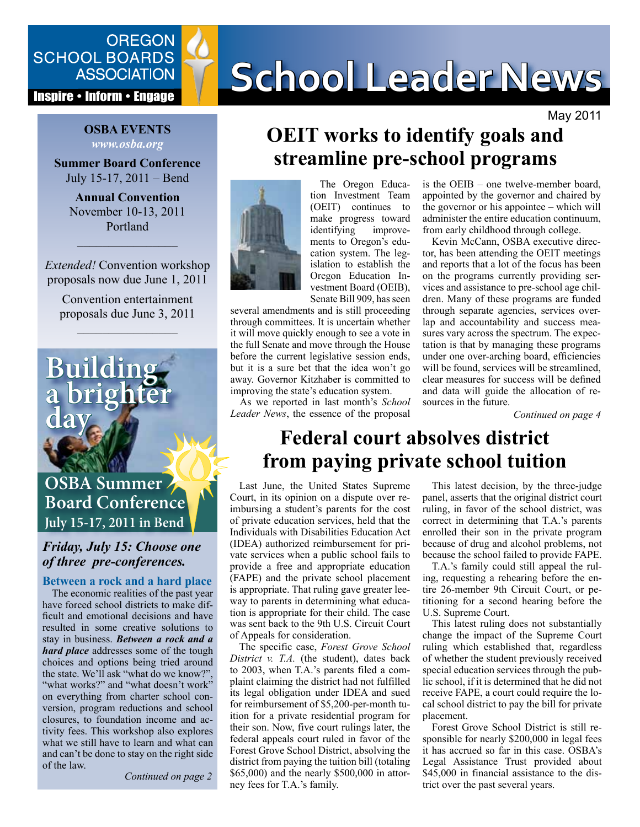

#### **Inspire • Inform • Engage**

#### **OSBA EVENTS** *www.osba.org*

**Summer Board Conference** July 15-17, 2011 – Bend

**Annual Convention** November 10-13, 2011 Portland

*Extended!* Convention workshop proposals now due June 1, 2011

––––––––––––––––

Convention entertainment proposals due June 3, 2011

––––––––––––––––



#### *Friday, July 15: Choose one of three pre-conferences.*

**Between a rock and a hard place** 

The economic realities of the past year have forced school districts to make difficult and emotional decisions and have resulted in some creative solutions to stay in business. *Between a rock and a hard place* addresses some of the tough choices and options being tried around the state. We'll ask "what do we know?", "what works?" and "what doesn't work" on everything from charter school conversion, program reductions and school closures, to foundation income and activity fees. This workshop also explores what we still have to learn and what can and can't be done to stay on the right side of the law.

*Continued on page 2*

# SCHOOL BOARDS **SCHOOL Leader News**

May 2011

# **OEIT works to identify goals and streamline pre-school programs**



The Oregon Education Investment Team (OEIT) continues to make progress toward<br>identifying improveidentifying ments to Oregon's education system. The legislation to establish the Oregon Education Investment Board (OEIB), Senate Bill 909, has seen

several amendments and is still proceeding through committees. It is uncertain whether it will move quickly enough to see a vote in the full Senate and move through the House before the current legislative session ends, but it is a sure bet that the idea won't go away. Governor Kitzhaber is committed to improving the state's education system.

As we reported in last month's *School Leader News*, the essence of the proposal

is the OEIB – one twelve-member board, appointed by the governor and chaired by the governor or his appointee – which will administer the entire education continuum, from early childhood through college.

Kevin McCann, OSBA executive director, has been attending the OEIT meetings and reports that a lot of the focus has been on the programs currently providing services and assistance to pre-school age children. Many of these programs are funded through separate agencies, services overlap and accountability and success measures vary across the spectrum. The expectation is that by managing these programs under one over-arching board, efficiencies will be found, services will be streamlined, clear measures for success will be defined and data will guide the allocation of resources in the future.

*Continued on page 4*

# **Federal court absolves district from paying private school tuition**

Last June, the United States Supreme Court, in its opinion on a dispute over reimbursing a student's parents for the cost of private education services, held that the Individuals with Disabilities Education Act (IDEA) authorized reimbursement for private services when a public school fails to provide a free and appropriate education (FAPE) and the private school placement is appropriate. That ruling gave greater leeway to parents in determining what education is appropriate for their child. The case was sent back to the 9th U.S. Circuit Court of Appeals for consideration.

The specific case, *Forest Grove School District v. T.A.* (the student), dates back to 2003, when T.A.'s parents filed a complaint claiming the district had not fulfilled its legal obligation under IDEA and sued for reimbursement of \$5,200-per-month tuition for a private residential program for their son. Now, five court rulings later, the federal appeals court ruled in favor of the Forest Grove School District, absolving the district from paying the tuition bill (totaling \$65,000) and the nearly \$500,000 in attorney fees for T.A.'s family.

This latest decision, by the three-judge panel, asserts that the original district court ruling, in favor of the school district, was correct in determining that T.A.'s parents enrolled their son in the private program because of drug and alcohol problems, not because the school failed to provide FAPE.

T.A.'s family could still appeal the ruling, requesting a rehearing before the entire 26-member 9th Circuit Court, or petitioning for a second hearing before the U.S. Supreme Court.

This latest ruling does not substantially change the impact of the Supreme Court ruling which established that, regardless of whether the student previously received special education services through the public school, if it is determined that he did not receive FAPE, a court could require the local school district to pay the bill for private placement.

Forest Grove School District is still responsible for nearly \$200,000 in legal fees it has accrued so far in this case. OSBA's Legal Assistance Trust provided about \$45,000 in financial assistance to the district over the past several years.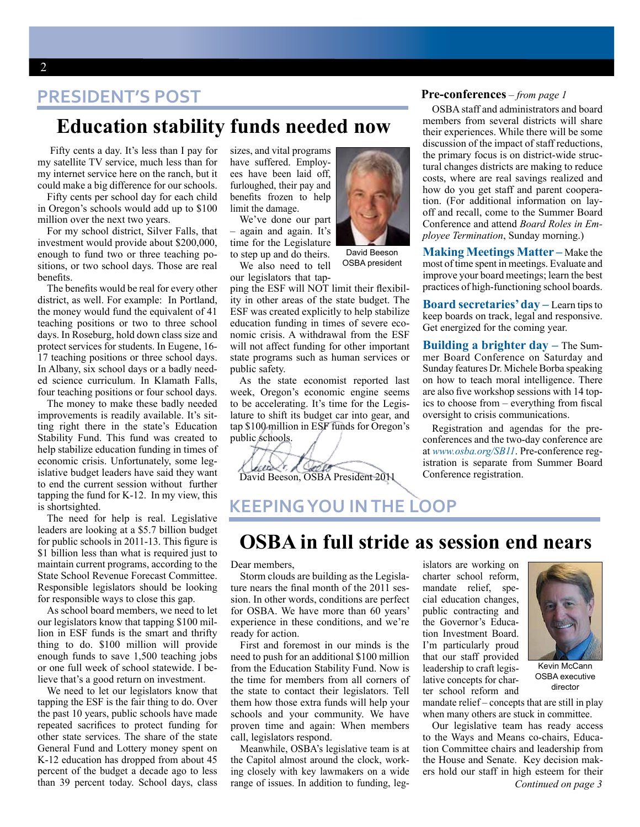#### **PRESIDENT'S POST**

#### **Education stability funds needed now**

Fifty cents a day. It's less than I pay for my satellite TV service, much less than for my internet service here on the ranch, but it could make a big difference for our schools.

Fifty cents per school day for each child in Oregon's schools would add up to \$100 million over the next two years.

For my school district, Silver Falls, that investment would provide about \$200,000, enough to fund two or three teaching positions, or two school days. Those are real benefits.

The benefits would be real for every other district, as well. For example: In Portland, the money would fund the equivalent of 41 teaching positions or two to three school days. In Roseburg, hold down class size and protect services for students. In Eugene, 16- 17 teaching positions or three school days. In Albany, six school days or a badly needed science curriculum. In Klamath Falls, four teaching positions or four school days.

The money to make these badly needed improvements is readily available. It's sitting right there in the state's Education Stability Fund. This fund was created to help stabilize education funding in times of economic crisis. Unfortunately, some legislative budget leaders have said they want to end the current session without further tapping the fund for K-12. In my view, this is shortsighted.

The need for help is real. Legislative leaders are looking at a \$5.7 billion budget for public schools in 2011-13. This figure is \$1 billion less than what is required just to maintain current programs, according to the State School Revenue Forecast Committee. Responsible legislators should be looking for responsible ways to close this gap.

As school board members, we need to let our legislators know that tapping \$100 million in ESF funds is the smart and thrifty thing to do. \$100 million will provide enough funds to save 1,500 teaching jobs or one full week of school statewide. I believe that's a good return on investment.

We need to let our legislators know that tapping the ESF is the fair thing to do. Over the past 10 years, public schools have made repeated sacrifices to protect funding for other state services. The share of the state General Fund and Lottery money spent on K-12 education has dropped from about 45 percent of the budget a decade ago to less than 39 percent today. School days, class

sizes, and vital programs have suffered. Employees have been laid off, furloughed, their pay and benefits frozen to help limit the damage.

We've done our part – again and again. It's time for the Legislature to step up and do theirs.

We also need to tell our legislators that tap-

ping the ESF will NOT limit their flexibility in other areas of the state budget. The ESF was created explicitly to help stabilize education funding in times of severe economic crisis. A withdrawal from the ESF will not affect funding for other important state programs such as human services or public safety.

As the state economist reported last week, Oregon's economic engine seems to be accelerating. It's time for the Legislature to shift its budget car into gear, and tap \$100 million in ESF funds for Oregon's public schools.

early & Coold

David Beeson, OSBA President 2011

David Beeson OSBA president members from several districts will share their experiences. While there will be some

OSBA staff and administrators and board

**Pre-conferences** – *from page 1*

discussion of the impact of staff reductions, the primary focus is on district-wide structural changes districts are making to reduce costs, where are real savings realized and how do you get staff and parent cooperation. (For additional information on layoff and recall, come to the Summer Board Conference and attend *Board Roles in Employee Termination*, Sunday morning.)

**Making Meetings Matter –** Make the most of time spent in meetings. Evaluate and improve your board meetings; learn the best practices of high-functioning school boards.

**Board secretaries' day –** Learn tips to keep boards on track, legal and responsive. Get energized for the coming year.

**Building a brighter day –** The Summer Board Conference on Saturday and Sunday features Dr. Michele Borba speaking on how to teach moral intelligence. There are also five workshop sessions with 14 topics to choose from – everything from fiscal oversight to crisis communications.

Registration and agendas for the preconferences and the two-day conference are at *[www.osba.org/SB11](http://www.osba.org/SB11)*. Pre-conference registration is separate from Summer Board Conference registration.

**KEEPING YOU IN THE LOOP**

#### **OSBA in full stride as session end nears**

Dear members,

Storm clouds are building as the Legislature nears the final month of the 2011 session. In other words, conditions are perfect for OSBA. We have more than 60 years' experience in these conditions, and we're ready for action.

First and foremost in our minds is the need to push for an additional \$100 million from the Education Stability Fund. Now is the time for members from all corners of the state to contact their legislators. Tell them how those extra funds will help your schools and your community. We have proven time and again: When members call, legislators respond.

Meanwhile, OSBA's legislative team is at the Capitol almost around the clock, working closely with key lawmakers on a wide range of issues. In addition to funding, legislators are working on charter school reform, mandate relief, special education changes, public contracting and the Governor's Education Investment Board. I'm particularly proud that our staff provided leadership to craft legislative concepts for charter school reform and



Kevin McCann OSBA executive director

mandate relief – concepts that are still in play when many others are stuck in committee.

*Continued on page 3* Our legislative team has ready access to the Ways and Means co-chairs, Education Committee chairs and leadership from the House and Senate. Key decision makers hold our staff in high esteem for their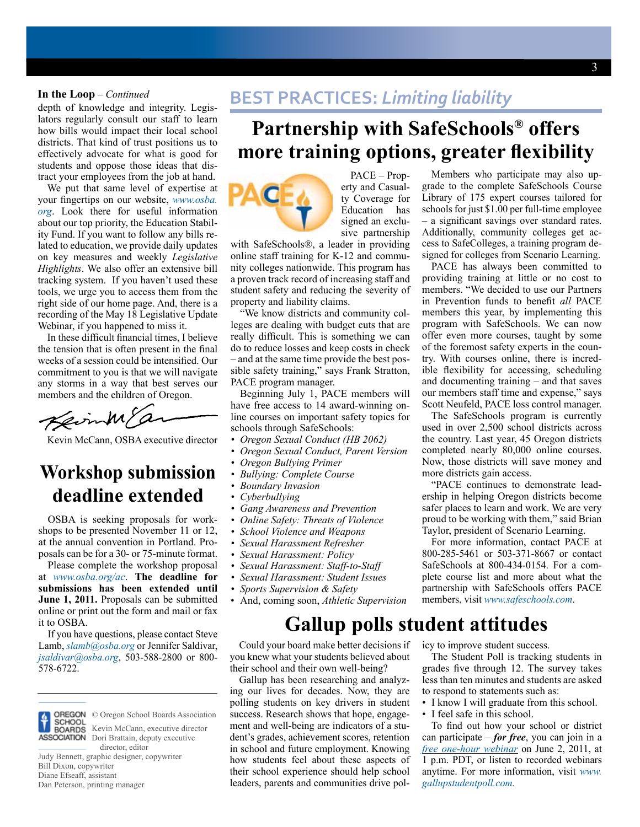depth of knowledge and integrity. Legislators regularly consult our staff to learn how bills would impact their local school districts. That kind of trust positions us to effectively advocate for what is good for students and oppose those ideas that distract your employees from the job at hand.

We put that same level of expertise at your fingertips on our website, *[www.osba.](www.osba.org) [org](www.osba.org)*. Look there for useful information about our top priority, the Education Stability Fund. If you want to follow any bills related to education, we provide daily updates on key measures and weekly *Legislative Highlights*. We also offer an extensive bill tracking system. If you haven't used these tools, we urge you to access them from the right side of our home page. And, there is a recording of the May 18 Legislative Update Webinar, if you happened to miss it.

In these difficult financial times, I believe the tension that is often present in the final weeks of a session could be intensified. Our commitment to you is that we will navigate any storms in a way that best serves our members and the children of Oregon.

Keinme

Kevin McCann, OSBA executive director

#### **Workshop submission deadline extended**

OSBA is seeking proposals for workshops to be presented November 11 or 12, at the annual convention in Portland. Proposals can be for a 30- or 75-minute format.

Please complete the workshop proposal at *[www.osba.org/ac](http://www.osba.org/ac)*. **The deadline for submissions has been extended until June 1, 2011.** Proposals can be submitted online or print out the form and mail or fax it to OSBA.

If you have questions, please contact Steve Lamb, *[slamb@osba.org](mailto:slamb@osba.org)* or Jennifer Saldivar, *[jsaldivar@osba.org](mailto:jsaldivar@osba.org)*, 503-588-2800 or 800- 578-6722.



© Oregon School Boards Association Kevin McCann, executive director **ASSOCIATION** Dori Brattain, deputy executive director, editor

Judy Bennett, graphic designer, copywriter Bill Dixon, copywriter Diane Efseaff, assistant Dan Peterson, printing manager

#### **BEST PRACTICES: Limiting liability** darth of linearized and integrity Legischinese **BEST PRACTICES:** Limiting liability

# **Partnership with SafeSchools® offers more training options, greater flexibility**



PACE – Property and Casualty Coverage for Education has signed an exclusive partnership

with SafeSchools®, a leader in providing online staff training for K-12 and community colleges nationwide. This program has a proven track record of increasing staff and student safety and reducing the severity of property and liability claims.

"We know districts and community colleges are dealing with budget cuts that are really difficult. This is something we can do to reduce losses and keep costs in check – and at the same time provide the best possible safety training," says Frank Stratton, PACE program manager.

Beginning July 1, PACE members will have free access to 14 award-winning online courses on important safety topics for schools through SafeSchools:

- *• Oregon Sexual Conduct (HB 2062)*
- *• Oregon Sexual Conduct, Parent Version*
- *• Oregon Bullying Primer*
- *• Bullying: Complete Course*
- *• Boundary Invasion*
- *• Cyberbullying*
- *• Gang Awareness and Prevention*
- *Online Safety: Threats of Violence*
- *School Violence and Weapons*
- *• Sexual Harassment Refresher*
- *• Sexual Harassment: Policy*
- *• Sexual Harassment: Staff-to-Staff*
- *• Sexual Harassment: Student Issues*
- *• Sports Supervision & Safety*
- And, coming soon, *Athletic Supervision*

### **Gallup polls student attitudes**

Could your board make better decisions if you knew what your students believed about their school and their own well-being?

Gallup has been researching and analyzing our lives for decades. Now, they are polling students on key drivers in student success. Research shows that hope, engagement and well-being are indicators of a student's grades, achievement scores, retention in school and future employment. Knowing how students feel about these aspects of their school experience should help school leaders, parents and communities drive pol-

Members who participate may also upgrade to the complete SafeSchools Course Library of 175 expert courses tailored for schools for just \$1.00 per full-time employee – a significant savings over standard rates. Additionally, community colleges get access to SafeColleges, a training program designed for colleges from Scenario Learning.

PACE has always been committed to providing training at little or no cost to members. "We decided to use our Partners in Prevention funds to benefit *all* PACE members this year, by implementing this program with SafeSchools. We can now offer even more courses, taught by some of the foremost safety experts in the country. With courses online, there is incredible flexibility for accessing, scheduling and documenting training – and that saves our members staff time and expense," says Scott Neufeld, PACE loss control manager.

The SafeSchools program is currently used in over 2,500 school districts across the country. Last year, 45 Oregon districts completed nearly 80,000 online courses. Now, those districts will save money and more districts gain access.

"PACE continues to demonstrate leadership in helping Oregon districts become safer places to learn and work. We are very proud to be working with them," said Brian Taylor, president of Scenario Learning.

For more information, contact PACE at 800-285-5461 or 503-371-8667 or contact SafeSchools at 800-434-0154. For a complete course list and more about what the partnership with SafeSchools offers PACE members, visit *[www.safeschools.com](http://www.safeschools.com)*.

icy to improve student success.

The Student Poll is tracking students in grades five through 12. The survey takes less than ten minutes and students are asked to respond to statements such as:

- I know I will graduate from this school.
- I feel safe in this school.

To find out how your school or district can participate – *for free*, you can join in a *[free one-hour webinar](http://www.gallupstudentpoll.com/121688/Online-Learning-Webinars.aspx)* on June 2, 2011, at 1 p.m. PDT, or listen to recorded webinars anytime. For more information, visit *[www.](http://www.gallupstudentpoll.com) [gallupstudentpoll.com](http://www.gallupstudentpoll.com).*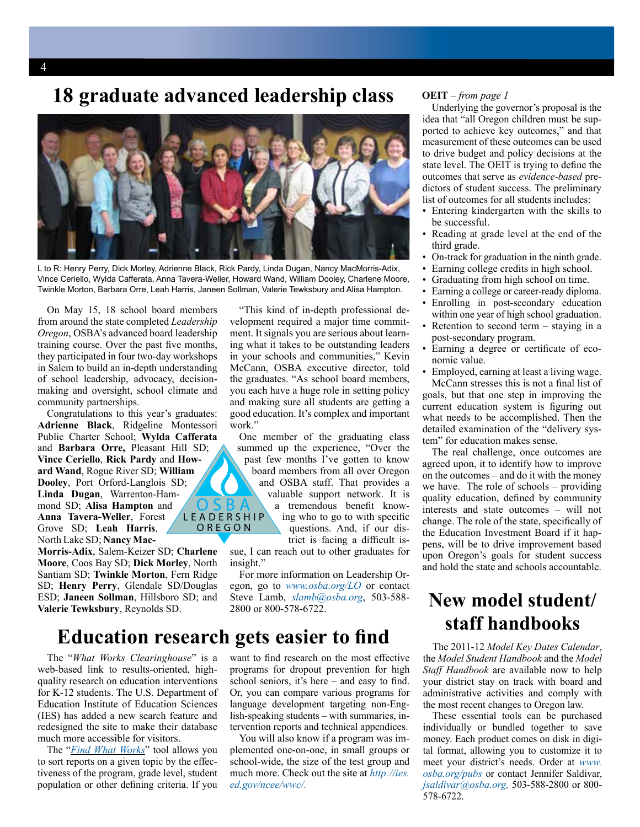#### **18 graduate advanced leadership class**



L to R: Henry Perry, Dick Morley, Adrienne Black, Rick Pardy, Linda Dugan, Nancy MacMorris-Adix, Vince Ceriello, Wylda Cafferata, Anna Tavera-Weller, Howard Wand, William Dooley, Charlene Moore, Twinkle Morton, Barbara Orre, Leah Harris, Janeen Sollman, Valerie Tewksbury and Alisa Hampton.

On May 15, 18 school board members from around the state completed *Leadership Oregon*, OSBA's advanced board leadership training course. Over the past five months, they participated in four two-day workshops in Salem to build an in-depth understanding of school leadership, advocacy, decisionmaking and oversight, school climate and community partnerships.

Congratulations to this year's graduates: **Adrienne Black**, Ridgeline Montessori Public Charter School; **Wylda Cafferata** and **Barbara Orre,** Pleasant Hill SD; **Vince Ceriello**, **Rick Pardy** and **Howard Wand**, Rogue River SD; **William Dooley**, Port Orford-Langlois SD; **Linda Dugan**, Warrenton-Hammond SD; **Alisa Hampton** and **Anna Tavera-Weller**, Forest Grove SD; **Leah Harris**, North Lake SD; **Nancy Mac-**O S B A L e a d e r s h i p O R E G O N

**Morris-Adix**, Salem-Keizer SD; **Charlene Moore**, Coos Bay SD; **Dick Morley**, North Santiam SD; **Twinkle Morton**, Fern Ridge SD; **Henry Perry**, Glendale SD/Douglas ESD; **Janeen Sollman**, Hillsboro SD; and **Valerie Tewksbury**, Reynolds SD.

"This kind of in-depth professional development required a major time commitment. It signals you are serious about learning what it takes to be outstanding leaders in your schools and communities," Kevin McCann, OSBA executive director, told the graduates. "As school board members, you each have a huge role in setting policy and making sure all students are getting a good education. It's complex and important work."

One member of the graduating class summed up the experience, "Over the past few months I've gotten to know board members from all over Oregon and OSBA staff. That provides a valuable support network. It is a tremendous benefit knowing who to go to with specific questions. And, if our district is facing a difficult is-

sue, I can reach out to other graduates for insight."

For more information on Leadership Oregon, go to *<www.osba.org/LO>* or contact Steve Lamb, *[slamb@osba.org](mailto:slamb%40osba.org?subject=)*, 503-588- 2800 or 800-578-6722.

#### **Education research gets easier to find**

The "*[What Works Clearinghouse](file:///H:/APPS/CS/Pubs-Newsletters/School%20Leader%20News/11-05/HOLD/ies.ed.gov/ncee/wwc)*" is a web-based link to results-oriented, highquality research on education interventions for K-12 students. The U.S. Department of Education Institute of Education Sciences (IES) has added a new search feature and redesigned the site to make their database much more accessible for visitors.

The "*[Find What Works](http://ies.ed.gov/ncee/wwc/reports/advancedss.aspx)*" tool allows you to sort reports on a given topic by the effectiveness of the program, grade level, student population or other defining criteria. If you

want to find research on the most effective programs for dropout prevention for high school seniors, it's here – and easy to find. Or, you can compare various programs for language development targeting non-English-speaking students – with summaries, intervention reports and technical appendices.

You will also know if a program was implemented one-on-one, in small groups or school-wide, the size of the test group and much more. Check out the site at *[http://ies.](http://ies.ed.gov/ncee/wwc/) [ed.gov/ncee/wwc/.](http://ies.ed.gov/ncee/wwc/)*

#### **OEIT** – *from page 1*

Underlying the governor's proposal is the idea that "all Oregon children must be supported to achieve key outcomes," and that measurement of these outcomes can be used to drive budget and policy decisions at the state level. The OEIT is trying to define the outcomes that serve as *evidence-based* predictors of student success. The preliminary list of outcomes for all students includes:

- Entering kindergarten with the skills to be successful.
- Reading at grade level at the end of the third grade.
- On-track for graduation in the ninth grade.
- Earning college credits in high school.
- Graduating from high school on time.
- Earning a college or career-ready diploma.
- Enrolling in post-secondary education within one year of high school graduation.
- Retention to second term  $-$  staying in a post-secondary program.
- Earning a degree or certificate of economic value.
- Employed, earning at least a living wage.

McCann stresses this is not a final list of goals, but that one step in improving the current education system is figuring out what needs to be accomplished. Then the detailed examination of the "delivery system" for education makes sense.

The real challenge, once outcomes are agreed upon, it to identify how to improve on the outcomes – and do it with the money we have. The role of schools – providing quality education, defined by community interests and state outcomes – will not change. The role of the state, specifically of the Education Investment Board if it happens, will be to drive improvement based upon Oregon's goals for student success and hold the state and schools accountable.

#### **New model student/ staff handbooks**

The 2011-12 *Model Key Dates Calendar*, the *Model Student Handbook* and the *Model Staff Handbook* are available now to help your district stay on track with board and administrative activities and comply with the most recent changes to Oregon law.

These essential tools can be purchased individually or bundled together to save money. Each product comes on disk in digital format, allowing you to customize it to meet your district's needs. Order at *[www.](www.osba.org/pubs) [osba.org/pubs](www.osba.org/pubs)* or contact Jennifer Saldivar, *[jsaldivar@osba.org](mailto:jsaldivar%40osba.org?subject=),* 503-588-2800 or 800- 578-6722.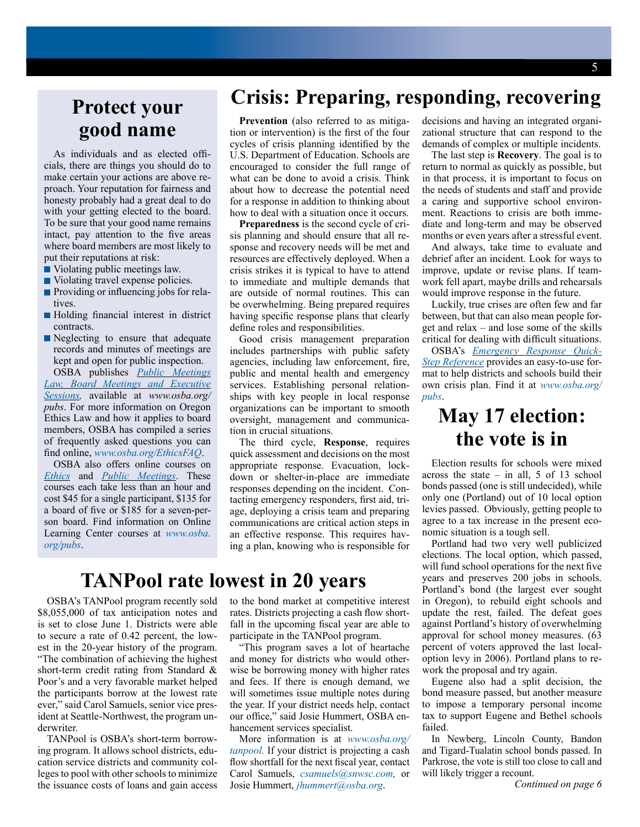### **Protect your good name**

As individuals and as elected officials, there are things you should do to make certain your actions are above reproach. Your reputation for fairness and honesty probably had a great deal to do with your getting elected to the board. To be sure that your good name remains intact, pay attention to the five areas where board members are most likely to put their reputations at risk:

- Violating public meetings law.
- Violating travel expense policies.
- **Providing or influencing jobs for rela**tives.
- Holding financial interest in district contracts.
- Neglecting to ensure that adequate records and minutes of meetings are kept and open for public inspection.

OSBA publishes *[Public Meetings](http://www.osba.org/Services/Publications/PIDPUBMTG-M.aspx)  [Law, Board Meetings and Executive](http://www.osba.org/Services/Publications/PIDPUBMTG-M.aspx)  [Sessions](http://www.osba.org/Services/Publications/PIDPUBMTG-M.aspx),* available at *www.osba.org/ pubs*. For more information on Oregon Ethics Law and how it applies to board members, OSBA has compiled a series of frequently asked questions you can find online, *www.osba.org/EthicsFAQ*.

OSBA also offers online courses on *[Ethics](http://www.osba.org/Services/Publications/OLC-ETHICBD7.aspx)* and *[Public Meetings](http://www.osba.org/Services/Publications/OLC-PUBMTG.aspx)*. These courses each take less than an hour and cost \$45 for a single participant, \$135 for a board of five or \$185 for a seven-person board. Find information on Online Learning Center courses at *[www.osba.](www.osba.org/pubs) [org/pubs](www.osba.org/pubs)*.

# **Crisis: Preparing, responding, recovering**

**Prevention** (also referred to as mitigation or intervention) is the first of the four cycles of crisis planning identified by the U.S. Department of Education. Schools are encouraged to consider the full range of what can be done to avoid a crisis. Think about how to decrease the potential need for a response in addition to thinking about how to deal with a situation once it occurs.

**Preparedness** is the second cycle of crisis planning and should ensure that all response and recovery needs will be met and resources are effectively deployed. When a crisis strikes it is typical to have to attend to immediate and multiple demands that are outside of normal routines. This can be overwhelming. Being prepared requires having specific response plans that clearly define roles and responsibilities.

Good crisis management preparation includes partnerships with public safety agencies, including law enforcement, fire, public and mental health and emergency services. Establishing personal relationships with key people in local response organizations can be important to smooth oversight, management and communication in crucial situations.

The third cycle, **Response**, requires quick assessment and decisions on the most appropriate response. Evacuation, lockdown or shelter-in-place are immediate responses depending on the incident. Contacting emergency responders, first aid, triage, deploying a crisis team and preparing communications are critical action steps in an effective response. This requires having a plan, knowing who is responsible for

# **TANPool rate lowest in 20 years**

OSBA's TANPool program recently sold \$8,055,000 of tax anticipation notes and is set to close June 1. Districts were able to secure a rate of 0.42 percent, the lowest in the 20-year history of the program. "The combination of achieving the highest short-term credit rating from Standard & Poor's and a very favorable market helped the participants borrow at the lowest rate ever," said Carol Samuels, senior vice president at Seattle-Northwest, the program underwriter.

TANPool is OSBA's short-term borrowing program. It allows school districts, education service districts and community colleges to pool with other schools to minimize the issuance costs of loans and gain access to the bond market at competitive interest rates. Districts projecting a cash flow shortfall in the upcoming fiscal year are able to participate in the TANPool program.

"This program saves a lot of heartache and money for districts who would otherwise be borrowing money with higher rates and fees. If there is enough demand, we will sometimes issue multiple notes during the year. If your district needs help, contact our office," said Josie Hummert, OSBA enhancement services specialist.

More information is at *[www.osba.org/](http://www.osba.org/tanpool) [tanpool.](http://www.osba.org/tanpool)* If your district is projecting a cash flow shortfall for the next fiscal year, contact Carol Samuels, *[csamuels@snwsc.com](mailto:csamuels%40snwsc.com?subject=),* or Josie Hummert, *[jhummert@osba.org](mailto:jhummert%40osba.org?subject=)*.

decisions and having an integrated organizational structure that can respond to the demands of complex or multiple incidents.

The last step is **Recovery**. The goal is to return to normal as quickly as possible, but in that process, it is important to focus on the needs of students and staff and provide a caring and supportive school environment. Reactions to crisis are both immediate and long-term and may be observed months or even years after a stressful event.

And always, take time to evaluate and debrief after an incident. Look for ways to improve, update or revise plans. If teamwork fell apart, maybe drills and rehearsals would improve response in the future.

Luckily, true crises are often few and far between, but that can also mean people forget and relax – and lose some of the skills critical for dealing with difficult situations.

OSBA's *[Emergency Response Quick-](http://www.osba.org/Services/Publications/PIDEMRESP-N.aspx)[Step Reference](http://www.osba.org/Services/Publications/PIDEMRESP-N.aspx)* provides an easy-to-use format to help districts and schools build their own crisis plan. Find it at *[www.osba.org/](www.osba.org/pubs) [pubs](www.osba.org/pubs)*.

#### **May 17 election: the vote is in**

Election results for schools were mixed across the state  $-$  in all, 5 of 13 school bonds passed (one is still undecided), while only one (Portland) out of 10 local option levies passed. Obviously, getting people to agree to a tax increase in the present economic situation is a tough sell.

Portland had two very well publicized elections. The local option, which passed, will fund school operations for the next five years and preserves 200 jobs in schools. Portland's bond (the largest ever sought in Oregon), to rebuild eight schools and update the rest, failed. The defeat goes against Portland's history of overwhelming approval for school money measures. (63 percent of voters approved the last localoption levy in 2006). Portland plans to rework the proposal and try again.

Eugene also had a split decision, the bond measure passed, but another measure to impose a temporary personal income tax to support Eugene and Bethel schools failed.

In Newberg, Lincoln County, Bandon and Tigard-Tualatin school bonds passed. In Parkrose, the vote is still too close to call and will likely trigger a recount.